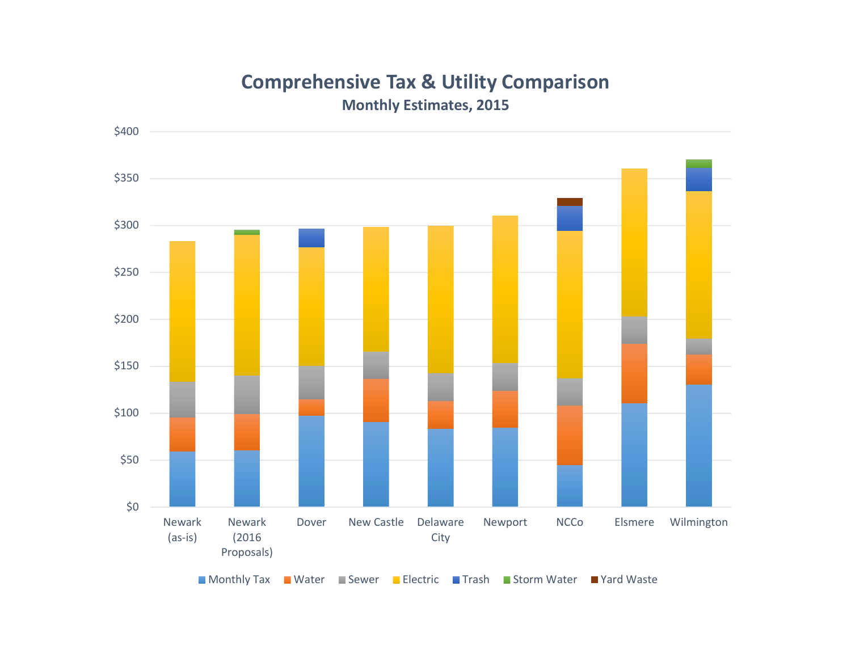## **Comprehensive Tax & Utility Comparison Monthly Estimates, 2015**